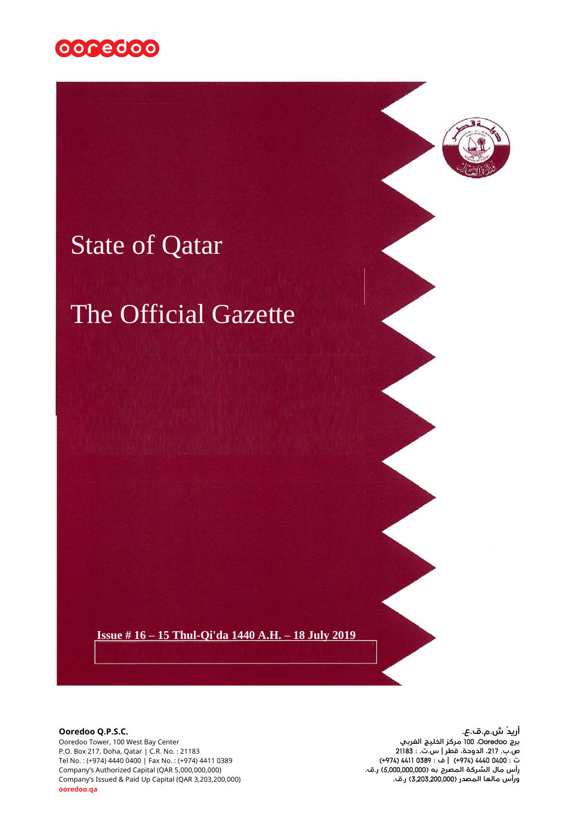



# State of Qatar

# The Official Gazette

 **Issue # 16 – 15 Thul-Qi'da 1440 A.H. – 18 July 2019**

**أريدُ ش.م.ق.ع.**<br>برج من المريدي المريدي المريدي المريدي المريدي المريدي المريدي المريدي المريدي المريدي المريدي المريدي المريدي<br>برج Ooredoo Tower, 100 West Bay Center Ooredoo Tower, 100 West Bay Center **الغربي الخليج مركز** 100 **،**Ooredoo **برج** P.O. Box 217, Doha, Qatar | C.R. No. : 21183 21183 **: .ت.س | قطر ،الدوحة ،**217 **.ب.ص** ت : Tel No. : (+974) 4440 0400 (+974) 4411 0389 (+974) 4411 0389 (+974) 4440 0400 (+974) 4440 0400 اTel No. : (+974)<br>رأس مال الشركة المصرح به (5,000,000,000 ر.ف.<br>ورأس مالها المصدر (3,203,200,000) ر.ف. **رأس مال الشركة املصرح به )**5,000,000,000**( ر.ق.** (5,000,000,000 QAR (Capital Authorized s'Company Company's Issued & Paid Up Capital (QAR 3,203,200,000) **.ق.ر(** 3,203,200,000 **)املصدر مالها ورأس ooredoo.qa 1**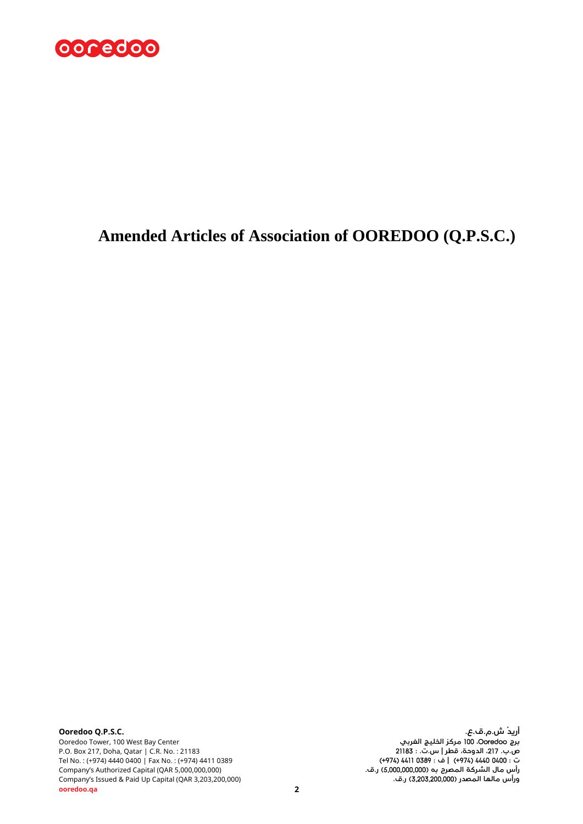

# **Amended Articles of Association of OOREDOO (Q.P.S.C.)**

**أريدُ ش.م.ق.ع.**<br>برج مالك المريدي المربعي بين المربعي المربعي المربعي المربعي المربعي المربعي المربعي المربعي المربعي<br>برج Ooredoo Tower, 100 West Bay Center P.O. Box 217, Doha, Qatar | C.R. No. : 21183 21183 **: .ت.س | قطر ،الدوحة ،**217 **.ب.ص** Tel No. : (+974) 4440 0400 | Fax No. : (+974) 4411 0389 (+974) 4411 0389 **: ف**) **|** +974 (4440 0400 **: ت رأس مال الشركة املصرح به )**5,000,000,000**( ر.ق.** (5,000,000,000 QAR (Capital Authorized s'Company Company's Issued & Paid Up Capital (QAR 3,203,200,000)<br>**2 ooredoo.qa 2**

Ooredoo Tower, 100 West Bay Center **الغربي الخليج مركز** 100 **،**Ooredoo **برج**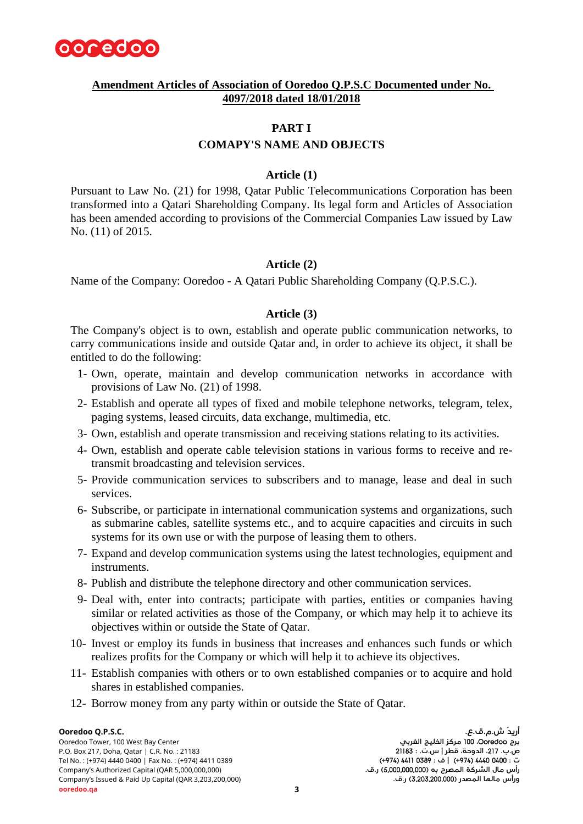

# **Amendment Articles of Association of Ooredoo Q.P.S.C Documented under No. 4097/2018 dated 18/01/2018**

# **PART I**

# **COMAPY'S NAME AND OBJECTS**

# **Article (1)**

Pursuant to Law No. (21) for 1998, Qatar Public Telecommunications Corporation has been transformed into a Qatari Shareholding Company. Its legal form and Articles of Association has been amended according to provisions of the Commercial Companies Law issued by Law No. (11) of 2015.

# **Article (2)**

Name of the Company: Ooredoo - A Qatari Public Shareholding Company (Q.P.S.C.).

#### **Article (3)**

The Company's object is to own, establish and operate public communication networks, to carry communications inside and outside Qatar and, in order to achieve its object, it shall be entitled to do the following:

- 1- Own, operate, maintain and develop communication networks in accordance with provisions of Law No. (21) of 1998.
- 2- Establish and operate all types of fixed and mobile telephone networks, telegram, telex, paging systems, leased circuits, data exchange, multimedia, etc.
- 3- Own, establish and operate transmission and receiving stations relating to its activities.
- 4- Own, establish and operate cable television stations in various forms to receive and retransmit broadcasting and television services.
- 5- Provide communication services to subscribers and to manage, lease and deal in such services.
- 6- Subscribe, or participate in international communication systems and organizations, such as submarine cables, satellite systems etc., and to acquire capacities and circuits in such systems for its own use or with the purpose of leasing them to others.
- 7- Expand and develop communication systems using the latest technologies, equipment and instruments.
- 8- Publish and distribute the telephone directory and other communication services.
- 9- Deal with, enter into contracts; participate with parties, entities or companies having similar or related activities as those of the Company, or which may help it to achieve its objectives within or outside the State of Qatar.
- 10- Invest or employ its funds in business that increases and enhances such funds or which realizes profits for the Company or which will help it to achieve its objectives.
- 11- Establish companies with others or to own established companies or to acquire and hold shares in established companies.
- 12- Borrow money from any party within or outside the State of Qatar.

Ooredoo Tower, 100 West Bay Center **الغربي الخليج مركز** 100 **،**Ooredoo **برج** P.O. Box 217, Doha, Qatar | C.R. No. : 21183 21183 **: .ت.س | قطر ،الدوحة ،**217 **.ب.ص** Tel No. : (+974) 4440 0400 | Fax No. : (+974) 4411 0389 (+974) 4411 0389 **: ف**) **|** +974 (4440 0400 **: ت** رأس مال الشركة المصرح به (5,**000,000,000 ر.ق.**<br>ورأس مالها المصدر (3,**203,200,000 ر.**ق.<br>ورأس مالها المصدر (3,**203,200,000 ر.**ق. Company's Issued & Paid Up Capital (QAR 3,203,200,000)<br>**3 ooredoo.qa 3**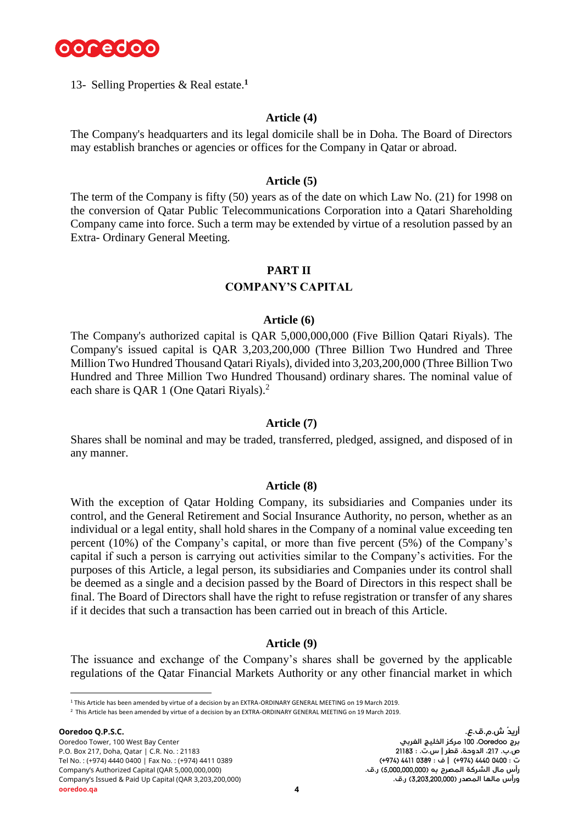

13- Selling Properties & Real estate. **1**

#### **Article (4)**

The Company's headquarters and its legal domicile shall be in Doha. The Board of Directors may establish branches or agencies or offices for the Company in Qatar or abroad.

#### **Article (5)**

The term of the Company is fifty (50) years as of the date on which Law No. (21) for 1998 on the conversion of Qatar Public Telecommunications Corporation into a Qatari Shareholding Company came into force. Such a term may be extended by virtue of a resolution passed by an Extra- Ordinary General Meeting.

# **PART II**

# **COMPANY'S CAPITAL**

#### **Article (6)**

The Company's authorized capital is QAR 5,000,000,000 (Five Billion Qatari Riyals). The Company's issued capital is QAR 3,203,200,000 (Three Billion Two Hundred and Three Million Two Hundred Thousand Qatari Riyals), divided into 3,203,200,000 (Three Billion Two Hundred and Three Million Two Hundred Thousand) ordinary shares. The nominal value of each share is QAR 1 (One Qatari Riyals).<sup>2</sup>

#### **Article (7)**

Shares shall be nominal and may be traded, transferred, pledged, assigned, and disposed of in any manner.

#### **Article (8)**

With the exception of Qatar Holding Company, its subsidiaries and Companies under its control, and the General Retirement and Social Insurance Authority, no person, whether as an individual or a legal entity, shall hold shares in the Company of a nominal value exceeding ten percent (10%) of the Company's capital, or more than five percent (5%) of the Company's capital if such a person is carrying out activities similar to the Company's activities. For the purposes of this Article, a legal person, its subsidiaries and Companies under its control shall be deemed as a single and a decision passed by the Board of Directors in this respect shall be final. The Board of Directors shall have the right to refuse registration or transfer of any shares if it decides that such a transaction has been carried out in breach of this Article.

#### **Article (9)**

The issuance and exchange of the Company's shares shall be governed by the applicable regulations of the Qatar Financial Markets Authority or any other financial market in which

l

<sup>1</sup> This Article has been amended by virtue of a decision by an EXTRA-ORDINARY GENERAL MEETING on 19 March 2019.

<sup>2</sup> This Article has been amended by virtue of a decision by an EXTRA-ORDINARY GENERAL MEETING on 19 March 2019.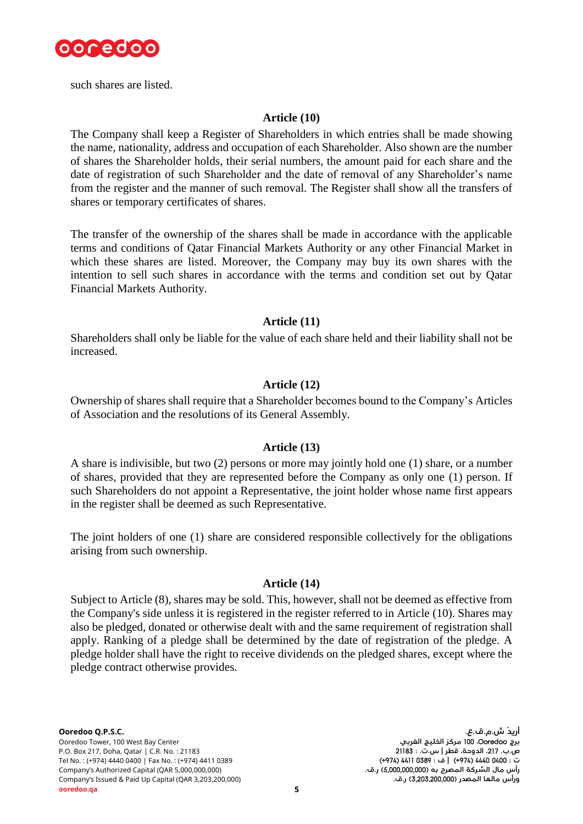

such shares are listed.

# **Article (10)**

The Company shall keep a Register of Shareholders in which entries shall be made showing the name, nationality, address and occupation of each Shareholder. Also shown are the number of shares the Shareholder holds, their serial numbers, the amount paid for each share and the date of registration of such Shareholder and the date of removal of any Shareholder's name from the register and the manner of such removal. The Register shall show all the transfers of shares or temporary certificates of shares.

The transfer of the ownership of the shares shall be made in accordance with the applicable terms and conditions of Qatar Financial Markets Authority or any other Financial Market in which these shares are listed. Moreover, the Company may buy its own shares with the intention to sell such shares in accordance with the terms and condition set out by Qatar Financial Markets Authority.

# **Article (11)**

Shareholders shall only be liable for the value of each share held and their liability shall not be increased.

# **Article (12)**

Ownership of shares shall require that a Shareholder becomes bound to the Company's Articles of Association and the resolutions of its General Assembly.

# **Article (13)**

A share is indivisible, but two (2) persons or more may jointly hold one (1) share, or a number of shares, provided that they are represented before the Company as only one (1) person. If such Shareholders do not appoint a Representative, the joint holder whose name first appears in the register shall be deemed as such Representative.

The joint holders of one (1) share are considered responsible collectively for the obligations arising from such ownership.

# **Article (14)**

Subject to Article (8), shares may be sold. This, however, shall not be deemed as effective from the Company's side unless it is registered in the register referred to in Article (10). Shares may also be pledged, donated or otherwise dealt with and the same requirement of registration shall apply. Ranking of a pledge shall be determined by the date of registration of the pledge. A pledge holder shall have the right to receive dividends on the pledged shares, except where the pledge contract otherwise provides.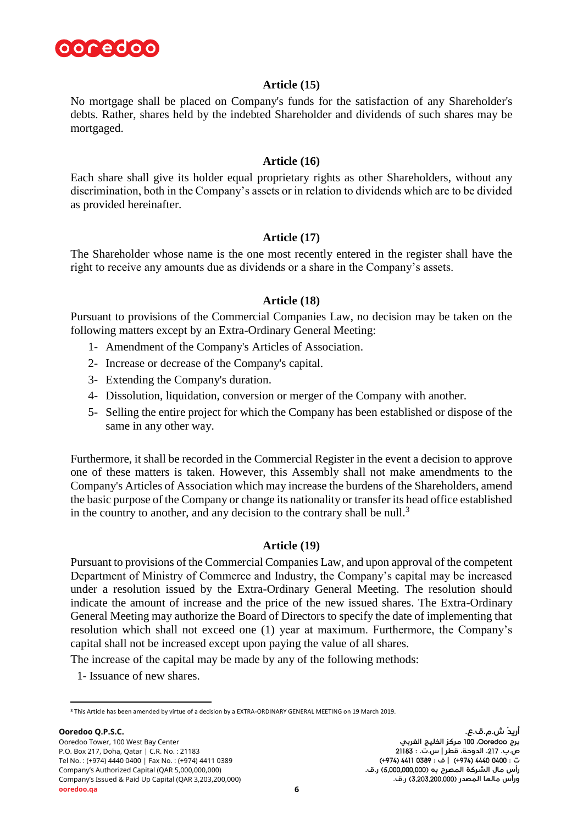

# **Article (15)**

No mortgage shall be placed on Company's funds for the satisfaction of any Shareholder's debts. Rather, shares held by the indebted Shareholder and dividends of such shares may be mortgaged.

# **Article (16)**

Each share shall give its holder equal proprietary rights as other Shareholders, without any discrimination, both in the Company's assets or in relation to dividends which are to be divided as provided hereinafter.

# **Article (17)**

The Shareholder whose name is the one most recently entered in the register shall have the right to receive any amounts due as dividends or a share in the Company's assets.

# **Article (18)**

Pursuant to provisions of the Commercial Companies Law, no decision may be taken on the following matters except by an Extra-Ordinary General Meeting:

- 1- Amendment of the Company's Articles of Association.
- 2- Increase or decrease of the Company's capital.
- 3- Extending the Company's duration.
- 4- Dissolution, liquidation, conversion or merger of the Company with another.
- 5- Selling the entire project for which the Company has been established or dispose of the same in any other way.

Furthermore, it shall be recorded in the Commercial Register in the event a decision to approve one of these matters is taken. However, this Assembly shall not make amendments to the Company's Articles of Association which may increase the burdens of the Shareholders, amend the basic purpose of the Company or change its nationality or transfer its head office established in the country to another, and any decision to the contrary shall be null.<sup>3</sup>

# **Article (19)**

Pursuant to provisions of the Commercial Companies Law, and upon approval of the competent Department of Ministry of Commerce and Industry, the Company's capital may be increased under a resolution issued by the Extra-Ordinary General Meeting. The resolution should indicate the amount of increase and the price of the new issued shares. The Extra-Ordinary General Meeting may authorize the Board of Directors to specify the date of implementing that resolution which shall not exceed one (1) year at maximum. Furthermore, the Company's capital shall not be increased except upon paying the value of all shares.

The increase of the capital may be made by any of the following methods:

1- Issuance of new shares.

l <sup>3</sup> This Article has been amended by virtue of a decision by a EXTRA-ORDINARY GENERAL MEETING on 19 March 2019.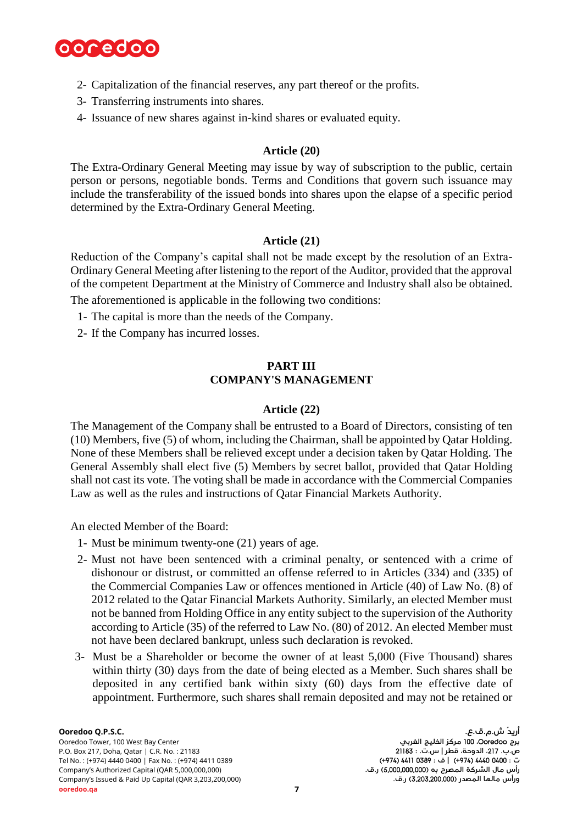

- 2- Capitalization of the financial reserves, any part thereof or the profits.
- 3- Transferring instruments into shares.
- 4- Issuance of new shares against in-kind shares or evaluated equity.

# **Article (20)**

The Extra-Ordinary General Meeting may issue by way of subscription to the public, certain person or persons, negotiable bonds. Terms and Conditions that govern such issuance may include the transferability of the issued bonds into shares upon the elapse of a specific period determined by the Extra-Ordinary General Meeting.

# **Article (21)**

Reduction of the Company's capital shall not be made except by the resolution of an Extra-Ordinary General Meeting after listening to the report of the Auditor, provided that the approval of the competent Department at the Ministry of Commerce and Industry shall also be obtained.

The aforementioned is applicable in the following two conditions:

- 1- The capital is more than the needs of the Company.
- 2- If the Company has incurred losses.

# **PART III COMPANY'S MANAGEMENT**

# **Article (22)**

The Management of the Company shall be entrusted to a Board of Directors, consisting of ten (10) Members, five (5) of whom, including the Chairman, shall be appointed by Qatar Holding. None of these Members shall be relieved except under a decision taken by Qatar Holding. The General Assembly shall elect five (5) Members by secret ballot, provided that Qatar Holding shall not cast its vote. The voting shall be made in accordance with the Commercial Companies Law as well as the rules and instructions of Qatar Financial Markets Authority.

An elected Member of the Board:

- 1- Must be minimum twenty-one (21) years of age.
- 2- Must not have been sentenced with a criminal penalty, or sentenced with a crime of dishonour or distrust, or committed an offense referred to in Articles (334) and (335) of the Commercial Companies Law or offences mentioned in Article (40) of Law No. (8) of 2012 related to the Qatar Financial Markets Authority. Similarly, an elected Member must not be banned from Holding Office in any entity subject to the supervision of the Authority according to Article (35) of the referred to Law No. (80) of 2012. An elected Member must not have been declared bankrupt, unless such declaration is revoked.
- 3- Must be a Shareholder or become the owner of at least 5,000 (Five Thousand) shares within thirty (30) days from the date of being elected as a Member. Such shares shall be deposited in any certified bank within sixty (60) days from the effective date of appointment. Furthermore, such shares shall remain deposited and may not be retained or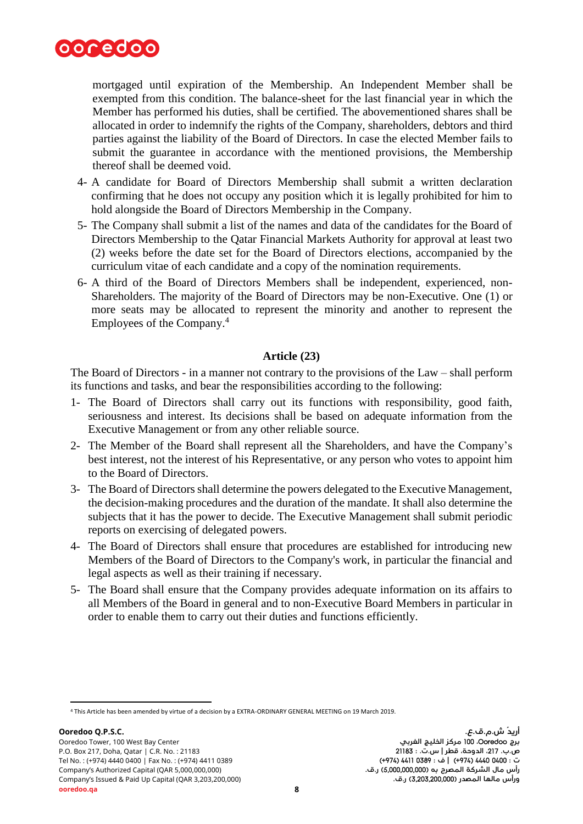

mortgaged until expiration of the Membership. An Independent Member shall be exempted from this condition. The balance-sheet for the last financial year in which the Member has performed his duties, shall be certified. The abovementioned shares shall be allocated in order to indemnify the rights of the Company, shareholders, debtors and third parties against the liability of the Board of Directors. In case the elected Member fails to submit the guarantee in accordance with the mentioned provisions, the Membership thereof shall be deemed void.

- 4- A candidate for Board of Directors Membership shall submit a written declaration confirming that he does not occupy any position which it is legally prohibited for him to hold alongside the Board of Directors Membership in the Company.
- 5- The Company shall submit a list of the names and data of the candidates for the Board of Directors Membership to the Qatar Financial Markets Authority for approval at least two (2) weeks before the date set for the Board of Directors elections, accompanied by the curriculum vitae of each candidate and a copy of the nomination requirements.
- 6- A third of the Board of Directors Members shall be independent, experienced, non-Shareholders. The majority of the Board of Directors may be non-Executive. One (1) or more seats may be allocated to represent the minority and another to represent the Employees of the Company. 4

# **Article (23)**

The Board of Directors - in a manner not contrary to the provisions of the Law – shall perform its functions and tasks, and bear the responsibilities according to the following:

- 1- The Board of Directors shall carry out its functions with responsibility, good faith, seriousness and interest. Its decisions shall be based on adequate information from the Executive Management or from any other reliable source.
- 2- The Member of the Board shall represent all the Shareholders, and have the Company's best interest, not the interest of his Representative, or any person who votes to appoint him to the Board of Directors.
- 3- The Board of Directors shall determine the powers delegated to the Executive Management, the decision-making procedures and the duration of the mandate. It shall also determine the subjects that it has the power to decide. The Executive Management shall submit periodic reports on exercising of delegated powers.
- 4- The Board of Directors shall ensure that procedures are established for introducing new Members of the Board of Directors to the Company's work, in particular the financial and legal aspects as well as their training if necessary.
- 5- The Board shall ensure that the Company provides adequate information on its affairs to all Members of the Board in general and to non-Executive Board Members in particular in order to enable them to carry out their duties and functions efficiently.

l

<sup>4</sup> This Article has been amended by virtue of a decision by a EXTRA-ORDINARY GENERAL MEETING on 19 March 2019.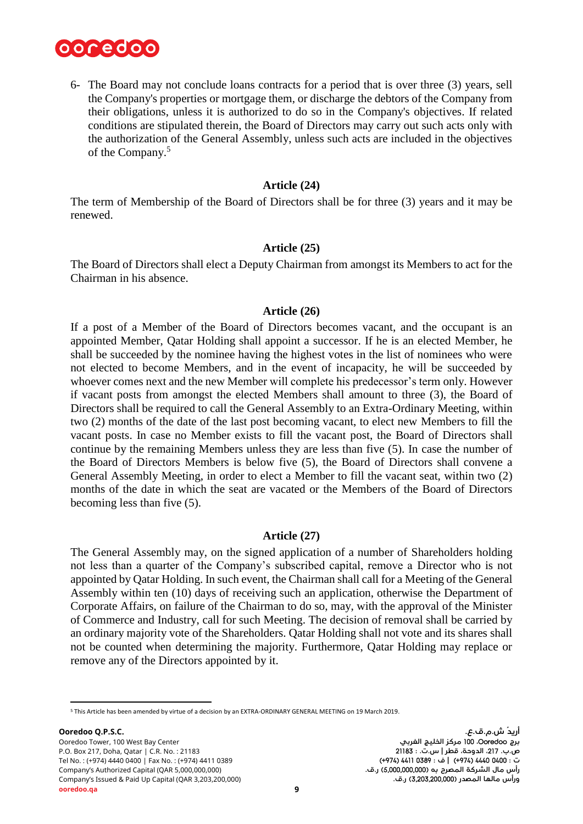

6- The Board may not conclude loans contracts for a period that is over three (3) years, sell the Company's properties or mortgage them, or discharge the debtors of the Company from their obligations, unless it is authorized to do so in the Company's objectives. If related conditions are stipulated therein, the Board of Directors may carry out such acts only with the authorization of the General Assembly, unless such acts are included in the objectives of the Company.<sup>5</sup>

#### **Article (24)**

The term of Membership of the Board of Directors shall be for three (3) years and it may be renewed.

#### **Article (25)**

The Board of Directors shall elect a Deputy Chairman from amongst its Members to act for the Chairman in his absence.

#### **Article (26)**

If a post of a Member of the Board of Directors becomes vacant, and the occupant is an appointed Member, Qatar Holding shall appoint a successor. If he is an elected Member, he shall be succeeded by the nominee having the highest votes in the list of nominees who were not elected to become Members, and in the event of incapacity, he will be succeeded by whoever comes next and the new Member will complete his predecessor's term only. However if vacant posts from amongst the elected Members shall amount to three (3), the Board of Directors shall be required to call the General Assembly to an Extra-Ordinary Meeting, within two (2) months of the date of the last post becoming vacant, to elect new Members to fill the vacant posts. In case no Member exists to fill the vacant post, the Board of Directors shall continue by the remaining Members unless they are less than five (5). In case the number of the Board of Directors Members is below five (5), the Board of Directors shall convene a General Assembly Meeting, in order to elect a Member to fill the vacant seat, within two (2) months of the date in which the seat are vacated or the Members of the Board of Directors becoming less than five (5).

# **Article (27)**

The General Assembly may, on the signed application of a number of Shareholders holding not less than a quarter of the Company's subscribed capital, remove a Director who is not appointed by Qatar Holding. In such event, the Chairman shall call for a Meeting of the General Assembly within ten (10) days of receiving such an application, otherwise the Department of Corporate Affairs, on failure of the Chairman to do so, may, with the approval of the Minister of Commerce and Industry, call for such Meeting. The decision of removal shall be carried by an ordinary majority vote of the Shareholders. Qatar Holding shall not vote and its shares shall not be counted when determining the majority. Furthermore, Qatar Holding may replace or remove any of the Directors appointed by it.

l <sup>5</sup> This Article has been amended by virtue of a decision by an EXTRA-ORDINARY GENERAL MEETING on 19 March 2019.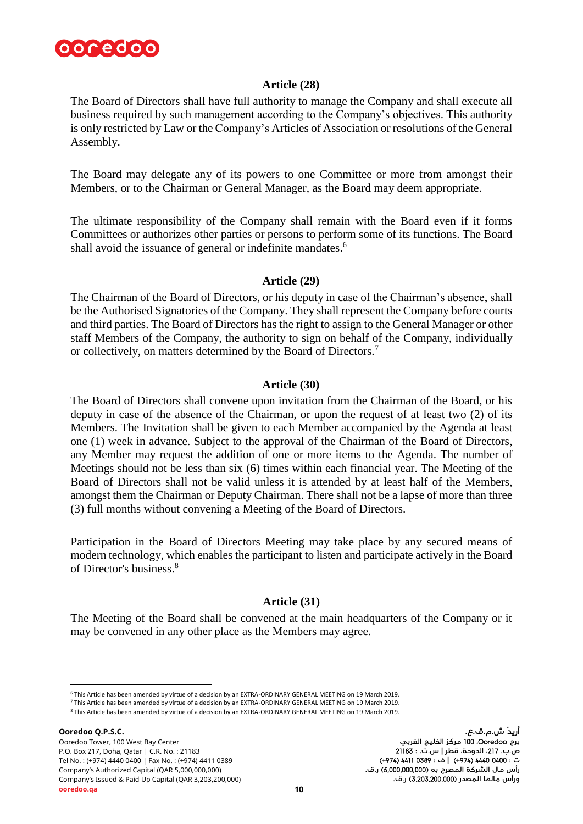

# **Article (28)**

The Board of Directors shall have full authority to manage the Company and shall execute all business required by such management according to the Company's objectives. This authority is only restricted by Law or the Company's Articles of Association or resolutions of the General Assembly.

The Board may delegate any of its powers to one Committee or more from amongst their Members, or to the Chairman or General Manager, as the Board may deem appropriate.

The ultimate responsibility of the Company shall remain with the Board even if it forms Committees or authorizes other parties or persons to perform some of its functions. The Board shall avoid the issuance of general or indefinite mandates.<sup>6</sup>

#### **Article (29)**

The Chairman of the Board of Directors, or his deputy in case of the Chairman's absence, shall be the Authorised Signatories of the Company. They shall represent the Company before courts and third parties. The Board of Directors has the right to assign to the General Manager or other staff Members of the Company, the authority to sign on behalf of the Company, individually or collectively, on matters determined by the Board of Directors.<sup>7</sup>

#### **Article (30)**

The Board of Directors shall convene upon invitation from the Chairman of the Board, or his deputy in case of the absence of the Chairman, or upon the request of at least two (2) of its Members. The Invitation shall be given to each Member accompanied by the Agenda at least one (1) week in advance. Subject to the approval of the Chairman of the Board of Directors, any Member may request the addition of one or more items to the Agenda. The number of Meetings should not be less than six (6) times within each financial year. The Meeting of the Board of Directors shall not be valid unless it is attended by at least half of the Members, amongst them the Chairman or Deputy Chairman. There shall not be a lapse of more than three (3) full months without convening a Meeting of the Board of Directors.

Participation in the Board of Directors Meeting may take place by any secured means of modern technology, which enables the participant to listen and participate actively in the Board of Director's business. 8

# **Article (31)**

The Meeting of the Board shall be convened at the main headquarters of the Company or it may be convened in any other place as the Members may agree.

<sup>6</sup> This Article has been amended by virtue of a decision by an EXTRA-ORDINARY GENERAL MEETING on 19 March 2019.

<sup>7</sup> This Article has been amended by virtue of a decision by an EXTRA-ORDINARY GENERAL MEETING on 19 March 2019. <sup>8</sup> This Article has been amended by virtue of a decision by an EXTRA-ORDINARY GENERAL MEETING on 19 March 2019.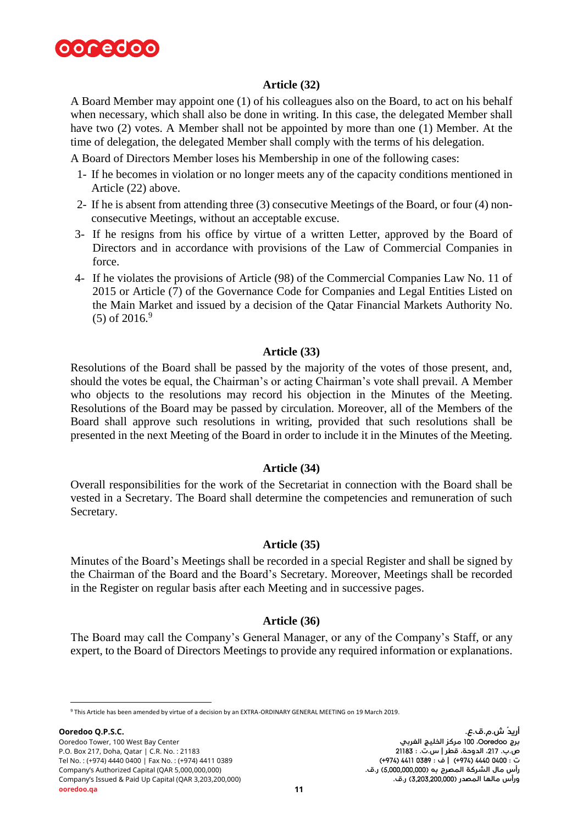

# **Article (32)**

A Board Member may appoint one (1) of his colleagues also on the Board, to act on his behalf when necessary, which shall also be done in writing. In this case, the delegated Member shall have two (2) votes. A Member shall not be appointed by more than one (1) Member. At the time of delegation, the delegated Member shall comply with the terms of his delegation.

A Board of Directors Member loses his Membership in one of the following cases:

- 1- If he becomes in violation or no longer meets any of the capacity conditions mentioned in Article (22) above.
- 2- If he is absent from attending three (3) consecutive Meetings of the Board, or four (4) nonconsecutive Meetings, without an acceptable excuse.
- 3- If he resigns from his office by virtue of a written Letter, approved by the Board of Directors and in accordance with provisions of the Law of Commercial Companies in force.
- 4- If he violates the provisions of Article (98) of the Commercial Companies Law No. 11 of 2015 or Article (7) of the Governance Code for Companies and Legal Entities Listed on the Main Market and issued by a decision of the Qatar Financial Markets Authority No.  $(5)$  of 2016.<sup>9</sup>

# **Article (33)**

Resolutions of the Board shall be passed by the majority of the votes of those present, and, should the votes be equal, the Chairman's or acting Chairman's vote shall prevail. A Member who objects to the resolutions may record his objection in the Minutes of the Meeting. Resolutions of the Board may be passed by circulation. Moreover, all of the Members of the Board shall approve such resolutions in writing, provided that such resolutions shall be presented in the next Meeting of the Board in order to include it in the Minutes of the Meeting.

# **Article (34)**

Overall responsibilities for the work of the Secretariat in connection with the Board shall be vested in a Secretary. The Board shall determine the competencies and remuneration of such Secretary.

# **Article (35)**

Minutes of the Board's Meetings shall be recorded in a special Register and shall be signed by the Chairman of the Board and the Board's Secretary. Moreover, Meetings shall be recorded in the Register on regular basis after each Meeting and in successive pages.

# **Article (36)**

The Board may call the Company's General Manager, or any of the Company's Staff, or any expert, to the Board of Directors Meetings to provide any required information or explanations.

<sup>9</sup> This Article has been amended by virtue of a decision by an EXTRA-ORDINARY GENERAL MEETING on 19 March 2019.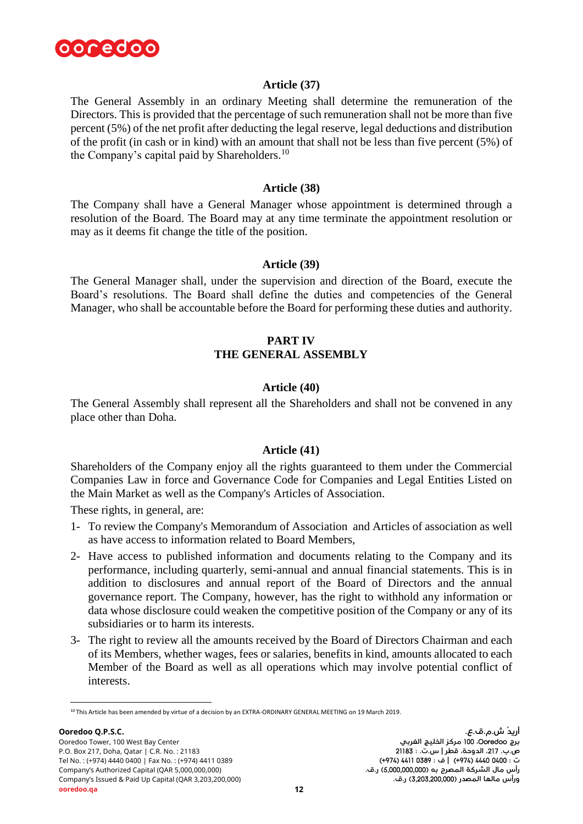

# **Article (37)**

The General Assembly in an ordinary Meeting shall determine the remuneration of the Directors. This is provided that the percentage of such remuneration shall not be more than five percent (5%) of the net profit after deducting the legal reserve, legal deductions and distribution of the profit (in cash or in kind) with an amount that shall not be less than five percent (5%) of the Company's capital paid by Shareholders.<sup>10</sup>

# **Article (38)**

The Company shall have a General Manager whose appointment is determined through a resolution of the Board. The Board may at any time terminate the appointment resolution or may as it deems fit change the title of the position.

#### **Article (39)**

The General Manager shall, under the supervision and direction of the Board, execute the Board's resolutions. The Board shall define the duties and competencies of the General Manager, who shall be accountable before the Board for performing these duties and authority.

# **PART IV THE GENERAL ASSEMBLY**

#### **Article (40)**

The General Assembly shall represent all the Shareholders and shall not be convened in any place other than Doha.

#### **Article (41)**

Shareholders of the Company enjoy all the rights guaranteed to them under the Commercial Companies Law in force and Governance Code for Companies and Legal Entities Listed on the Main Market as well as the Company's Articles of Association.

These rights, in general, are:

- 1- To review the Company's Memorandum of Association and Articles of association as well as have access to information related to Board Members,
- 2- Have access to published information and documents relating to the Company and its performance, including quarterly, semi-annual and annual financial statements. This is in addition to disclosures and annual report of the Board of Directors and the annual governance report. The Company, however, has the right to withhold any information or data whose disclosure could weaken the competitive position of the Company or any of its subsidiaries or to harm its interests.
- 3- The right to review all the amounts received by the Board of Directors Chairman and each of its Members, whether wages, fees or salaries, benefits in kind, amounts allocated to each Member of the Board as well as all operations which may involve potential conflict of interests.

<sup>10</sup> This Article has been amended by virtue of a decision by an EXTRA-ORDINARY GENERAL MEETING on 19 March 2019.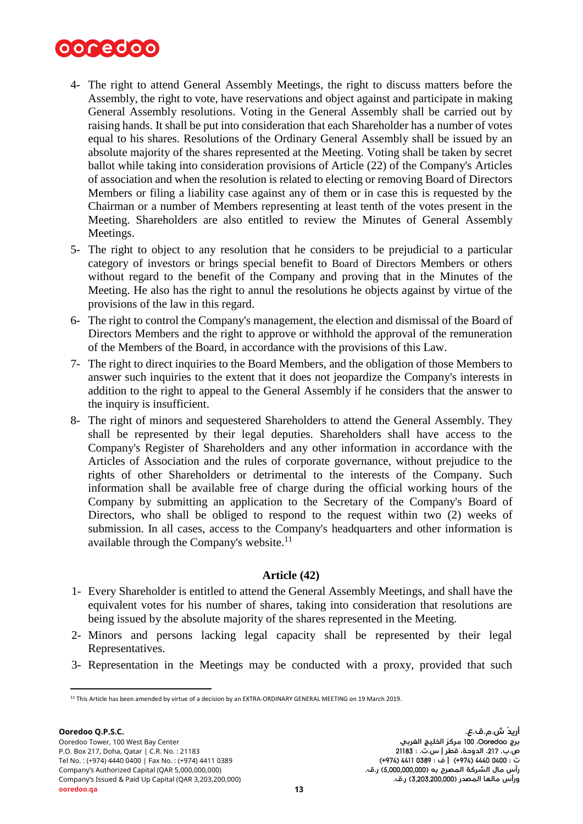

- 4- The right to attend General Assembly Meetings, the right to discuss matters before the Assembly, the right to vote, have reservations and object against and participate in making General Assembly resolutions. Voting in the General Assembly shall be carried out by raising hands. It shall be put into consideration that each Shareholder has a number of votes equal to his shares. Resolutions of the Ordinary General Assembly shall be issued by an absolute majority of the shares represented at the Meeting. Voting shall be taken by secret ballot while taking into consideration provisions of Article (22) of the Company's Articles of association and when the resolution is related to electing or removing Board of Directors Members or filing a liability case against any of them or in case this is requested by the Chairman or a number of Members representing at least tenth of the votes present in the Meeting. Shareholders are also entitled to review the Minutes of General Assembly Meetings.
- 5- The right to object to any resolution that he considers to be prejudicial to a particular category of investors or brings special benefit to Board of Directors Members or others without regard to the benefit of the Company and proving that in the Minutes of the Meeting. He also has the right to annul the resolutions he objects against by virtue of the provisions of the law in this regard.
- 6- The right to control the Company's management, the election and dismissal of the Board of Directors Members and the right to approve or withhold the approval of the remuneration of the Members of the Board, in accordance with the provisions of this Law.
- 7- The right to direct inquiries to the Board Members, and the obligation of those Members to answer such inquiries to the extent that it does not jeopardize the Company's interests in addition to the right to appeal to the General Assembly if he considers that the answer to the inquiry is insufficient.
- 8- The right of minors and sequestered Shareholders to attend the General Assembly. They shall be represented by their legal deputies. Shareholders shall have access to the Company's Register of Shareholders and any other information in accordance with the Articles of Association and the rules of corporate governance, without prejudice to the rights of other Shareholders or detrimental to the interests of the Company. Such information shall be available free of charge during the official working hours of the Company by submitting an application to the Secretary of the Company's Board of Directors, who shall be obliged to respond to the request within two (2) weeks of submission. In all cases, access to the Company's headquarters and other information is available through the Company's website.<sup>11</sup>

# **Article (42)**

- 1- Every Shareholder is entitled to attend the General Assembly Meetings, and shall have the equivalent votes for his number of shares, taking into consideration that resolutions are being issued by the absolute majority of the shares represented in the Meeting.
- 2- Minors and persons lacking legal capacity shall be represented by their legal Representatives.
- 3- Representation in the Meetings may be conducted with a proxy, provided that such

l <sup>11</sup> This Article has been amended by virtue of a decision by an EXTRA-ORDINARY GENERAL MEETING on 19 March 2019.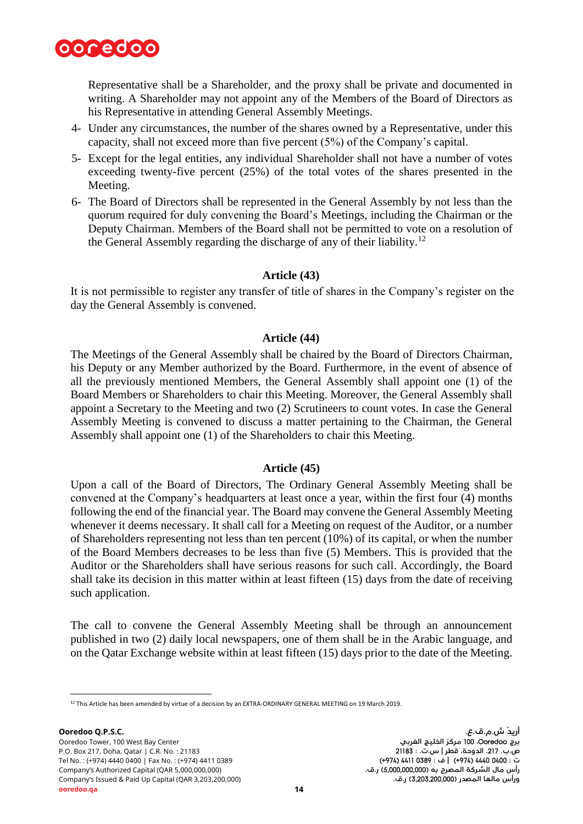

Representative shall be a Shareholder, and the proxy shall be private and documented in writing. A Shareholder may not appoint any of the Members of the Board of Directors as his Representative in attending General Assembly Meetings.

- 4- Under any circumstances, the number of the shares owned by a Representative, under this capacity, shall not exceed more than five percent (5%) of the Company's capital.
- 5- Except for the legal entities, any individual Shareholder shall not have a number of votes exceeding twenty-five percent (25%) of the total votes of the shares presented in the Meeting.
- 6- The Board of Directors shall be represented in the General Assembly by not less than the quorum required for duly convening the Board's Meetings, including the Chairman or the Deputy Chairman. Members of the Board shall not be permitted to vote on a resolution of the General Assembly regarding the discharge of any of their liability.<sup>12</sup>

# **Article (43)**

It is not permissible to register any transfer of title of shares in the Company's register on the day the General Assembly is convened.

#### **Article (44)**

The Meetings of the General Assembly shall be chaired by the Board of Directors Chairman, his Deputy or any Member authorized by the Board. Furthermore, in the event of absence of all the previously mentioned Members, the General Assembly shall appoint one (1) of the Board Members or Shareholders to chair this Meeting. Moreover, the General Assembly shall appoint a Secretary to the Meeting and two (2) Scrutineers to count votes. In case the General Assembly Meeting is convened to discuss a matter pertaining to the Chairman, the General Assembly shall appoint one (1) of the Shareholders to chair this Meeting.

# **Article (45)**

Upon a call of the Board of Directors, The Ordinary General Assembly Meeting shall be convened at the Company's headquarters at least once a year, within the first four (4) months following the end of the financial year. The Board may convene the General Assembly Meeting whenever it deems necessary. It shall call for a Meeting on request of the Auditor, or a number of Shareholders representing not less than ten percent (10%) of its capital, or when the number of the Board Members decreases to be less than five (5) Members. This is provided that the Auditor or the Shareholders shall have serious reasons for such call. Accordingly, the Board shall take its decision in this matter within at least fifteen (15) days from the date of receiving such application.

The call to convene the General Assembly Meeting shall be through an announcement published in two (2) daily local newspapers, one of them shall be in the Arabic language, and on the Qatar Exchange website within at least fifteen (15) days prior to the date of the Meeting.

 $\overline{a}$ <sup>12</sup> This Article has been amended by virtue of a decision by an EXTRA-ORDINARY GENERAL MEETING on 19 March 2019.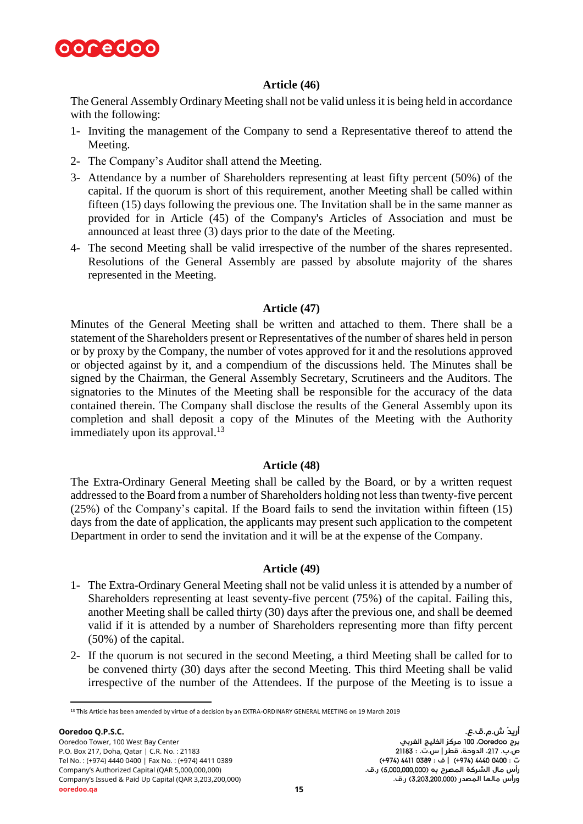

# **Article (46)**

The General Assembly Ordinary Meeting shall not be valid unless it is being held in accordance with the following:

- 1- Inviting the management of the Company to send a Representative thereof to attend the Meeting.
- 2- The Company's Auditor shall attend the Meeting.
- 3- Attendance by a number of Shareholders representing at least fifty percent (50%) of the capital. If the quorum is short of this requirement, another Meeting shall be called within fifteen (15) days following the previous one. The Invitation shall be in the same manner as provided for in Article (45) of the Company's Articles of Association and must be announced at least three (3) days prior to the date of the Meeting.
- 4- The second Meeting shall be valid irrespective of the number of the shares represented. Resolutions of the General Assembly are passed by absolute majority of the shares represented in the Meeting.

# **Article (47)**

Minutes of the General Meeting shall be written and attached to them. There shall be a statement of the Shareholders present or Representatives of the number of shares held in person or by proxy by the Company, the number of votes approved for it and the resolutions approved or objected against by it, and a compendium of the discussions held. The Minutes shall be signed by the Chairman, the General Assembly Secretary, Scrutineers and the Auditors. The signatories to the Minutes of the Meeting shall be responsible for the accuracy of the data contained therein. The Company shall disclose the results of the General Assembly upon its completion and shall deposit a copy of the Minutes of the Meeting with the Authority immediately upon its approval. $^{13}$ 

# **Article (48)**

The Extra-Ordinary General Meeting shall be called by the Board, or by a written request addressed to the Board from a number of Shareholders holding not less than twenty-five percent (25%) of the Company's capital. If the Board fails to send the invitation within fifteen (15) days from the date of application, the applicants may present such application to the competent Department in order to send the invitation and it will be at the expense of the Company.

# **Article (49)**

- 1- The Extra-Ordinary General Meeting shall not be valid unless it is attended by a number of Shareholders representing at least seventy-five percent (75%) of the capital. Failing this, another Meeting shall be called thirty (30) days after the previous one, and shall be deemed valid if it is attended by a number of Shareholders representing more than fifty percent (50%) of the capital.
- 2- If the quorum is not secured in the second Meeting, a third Meeting shall be called for to be convened thirty (30) days after the second Meeting. This third Meeting shall be valid irrespective of the number of the Attendees. If the purpose of the Meeting is to issue a

l

<sup>13</sup> This Article has been amended by virtue of a decision by an EXTRA-ORDINARY GENERAL MEETING on 19 March 2019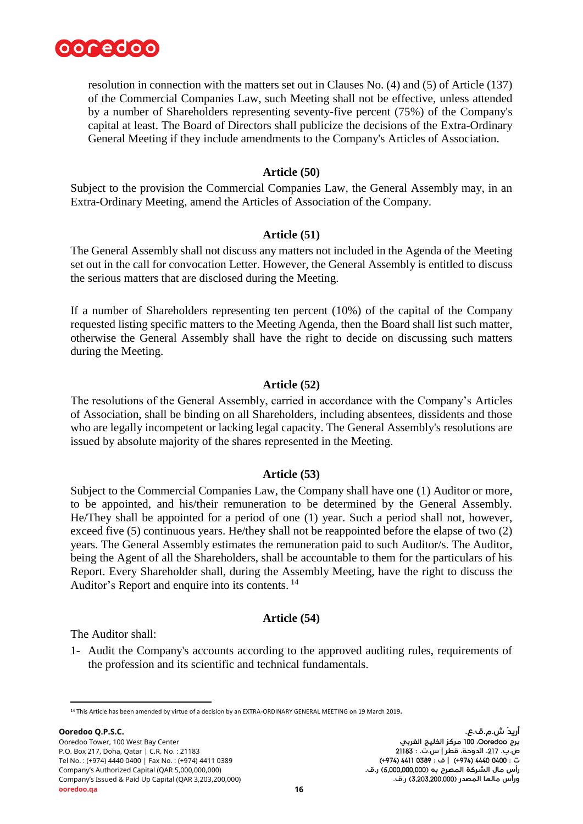

resolution in connection with the matters set out in Clauses No. (4) and (5) of Article (137) of the Commercial Companies Law, such Meeting shall not be effective, unless attended by a number of Shareholders representing seventy-five percent (75%) of the Company's capital at least. The Board of Directors shall publicize the decisions of the Extra-Ordinary General Meeting if they include amendments to the Company's Articles of Association.

#### **Article (50)**

Subject to the provision the Commercial Companies Law, the General Assembly may, in an Extra-Ordinary Meeting, amend the Articles of Association of the Company.

#### **Article (51)**

The General Assembly shall not discuss any matters not included in the Agenda of the Meeting set out in the call for convocation Letter. However, the General Assembly is entitled to discuss the serious matters that are disclosed during the Meeting.

If a number of Shareholders representing ten percent (10%) of the capital of the Company requested listing specific matters to the Meeting Agenda, then the Board shall list such matter, otherwise the General Assembly shall have the right to decide on discussing such matters during the Meeting.

# **Article (52)**

The resolutions of the General Assembly, carried in accordance with the Company's Articles of Association, shall be binding on all Shareholders, including absentees, dissidents and those who are legally incompetent or lacking legal capacity. The General Assembly's resolutions are issued by absolute majority of the shares represented in the Meeting.

# **Article (53)**

Subject to the Commercial Companies Law, the Company shall have one (1) Auditor or more, to be appointed, and his/their remuneration to be determined by the General Assembly. He/They shall be appointed for a period of one (1) year. Such a period shall not, however, exceed five (5) continuous years. He/they shall not be reappointed before the elapse of two (2) years. The General Assembly estimates the remuneration paid to such Auditor/s. The Auditor, being the Agent of all the Shareholders, shall be accountable to them for the particulars of his Report. Every Shareholder shall, during the Assembly Meeting, have the right to discuss the Auditor's Report and enquire into its contents. <sup>14</sup>

# **Article (54)**

The Auditor shall:

1- Audit the Company's accounts according to the approved auditing rules, requirements of the profession and its scientific and technical fundamentals.

l <sup>14</sup> This Article has been amended by virtue of a decision by an EXTRA-ORDINARY GENERAL MEETING on 19 March 2019**.**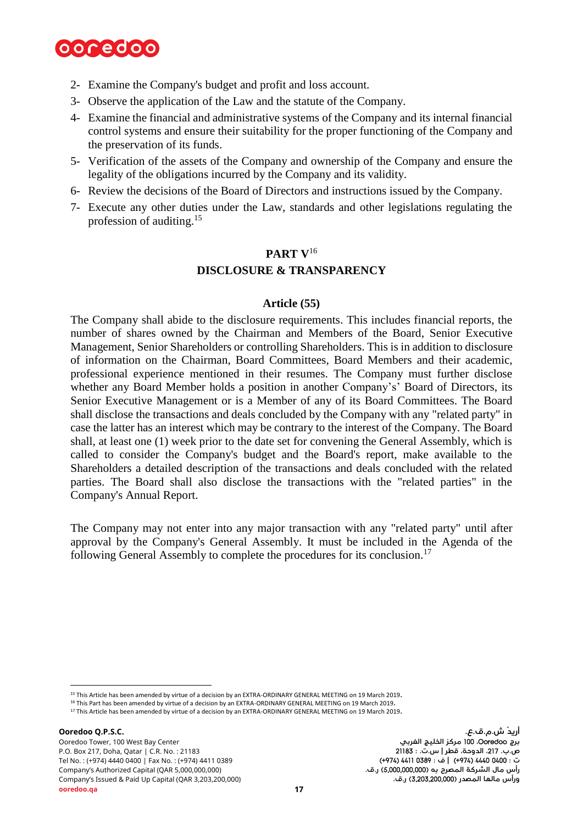

- 2- Examine the Company's budget and profit and loss account.
- 3- Observe the application of the Law and the statute of the Company.
- 4- Examine the financial and administrative systems of the Company and its internal financial control systems and ensure their suitability for the proper functioning of the Company and the preservation of its funds.
- 5- Verification of the assets of the Company and ownership of the Company and ensure the legality of the obligations incurred by the Company and its validity.
- 6- Review the decisions of the Board of Directors and instructions issued by the Company.
- 7- Execute any other duties under the Law, standards and other legislations regulating the profession of auditing. 15

# **PART V**<sup>16</sup> **DISCLOSURE & TRANSPARENCY**

#### **Article (55)**

The Company shall abide to the disclosure requirements. This includes financial reports, the number of shares owned by the Chairman and Members of the Board, Senior Executive Management, Senior Shareholders or controlling Shareholders. This is in addition to disclosure of information on the Chairman, Board Committees, Board Members and their academic, professional experience mentioned in their resumes. The Company must further disclose whether any Board Member holds a position in another Company's' Board of Directors, its Senior Executive Management or is a Member of any of its Board Committees. The Board shall disclose the transactions and deals concluded by the Company with any "related party" in case the latter has an interest which may be contrary to the interest of the Company. The Board shall, at least one (1) week prior to the date set for convening the General Assembly, which is called to consider the Company's budget and the Board's report, make available to the Shareholders a detailed description of the transactions and deals concluded with the related parties. The Board shall also disclose the transactions with the "related parties" in the Company's Annual Report.

The Company may not enter into any major transaction with any "related party" until after approval by the Company's General Assembly. It must be included in the Agenda of the following General Assembly to complete the procedures for its conclusion.<sup>17</sup>

<sup>15</sup> This Article has been amended by virtue of a decision by an EXTRA-ORDINARY GENERAL MEETING on 19 March 2019**.**

<sup>16</sup> This Part has been amended by virtue of a decision by an EXTRA-ORDINARY GENERAL MEETING on 19 March 2019**.**

<sup>17</sup> This Article has been amended by virtue of a decision by an EXTRA-ORDINARY GENERAL MEETING on 19 March 2019**.**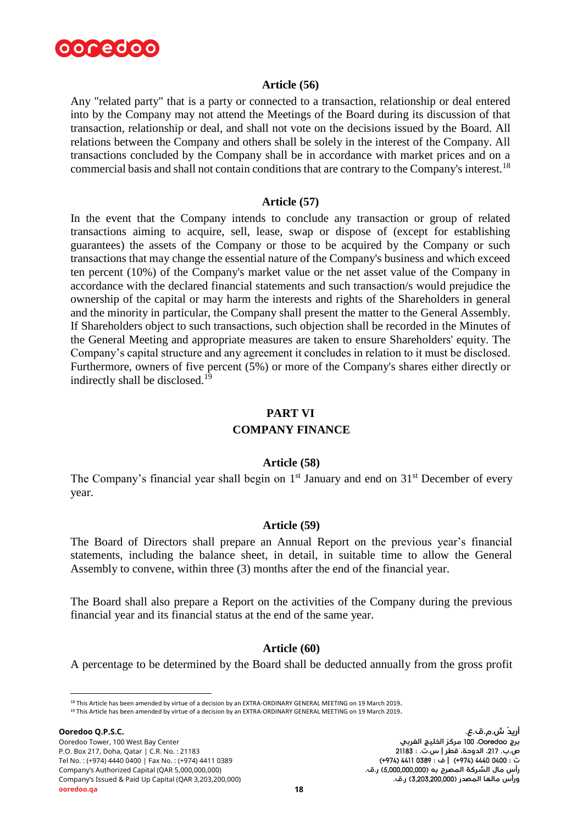

#### **Article (56)**

Any "related party" that is a party or connected to a transaction, relationship or deal entered into by the Company may not attend the Meetings of the Board during its discussion of that transaction, relationship or deal, and shall not vote on the decisions issued by the Board. All relations between the Company and others shall be solely in the interest of the Company. All transactions concluded by the Company shall be in accordance with market prices and on a commercial basis and shall not contain conditions that are contrary to the Company's interest.<sup>18</sup>

# **Article (57)**

In the event that the Company intends to conclude any transaction or group of related transactions aiming to acquire, sell, lease, swap or dispose of (except for establishing guarantees) the assets of the Company or those to be acquired by the Company or such transactions that may change the essential nature of the Company's business and which exceed ten percent (10%) of the Company's market value or the net asset value of the Company in accordance with the declared financial statements and such transaction/s would prejudice the ownership of the capital or may harm the interests and rights of the Shareholders in general and the minority in particular, the Company shall present the matter to the General Assembly. If Shareholders object to such transactions, such objection shall be recorded in the Minutes of the General Meeting and appropriate measures are taken to ensure Shareholders' equity. The Company's capital structure and any agreement it concludes in relation to it must be disclosed. Furthermore, owners of five percent (5%) or more of the Company's shares either directly or indirectly shall be disclosed.<sup>19</sup>

#### **PART VI**

#### **COMPANY FINANCE**

#### **Article (58)**

The Company's financial year shall begin on 1<sup>st</sup> January and end on 31<sup>st</sup> December of every year.

#### **Article (59)**

The Board of Directors shall prepare an Annual Report on the previous year's financial statements, including the balance sheet, in detail, in suitable time to allow the General Assembly to convene, within three (3) months after the end of the financial year.

The Board shall also prepare a Report on the activities of the Company during the previous financial year and its financial status at the end of the same year.

#### **Article (60)**

A percentage to be determined by the Board shall be deducted annually from the gross profit

<sup>18</sup> This Article has been amended by virtue of a decision by an EXTRA-ORDINARY GENERAL MEETING on 19 March 2019**.**

<sup>19</sup> This Article has been amended by virtue of a decision by an EXTRA-ORDINARY GENERAL MEETING on 19 March 2019**.**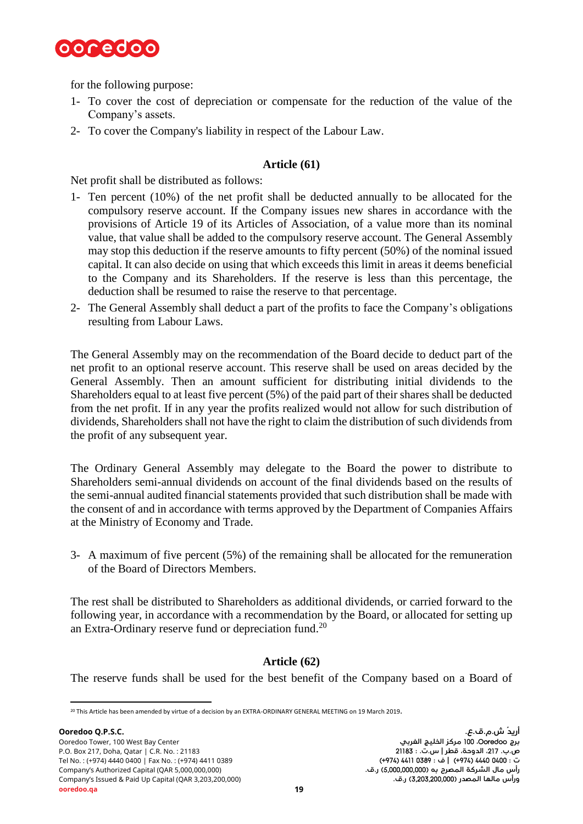

for the following purpose:

- 1- To cover the cost of depreciation or compensate for the reduction of the value of the Company's assets.
- 2- To cover the Company's liability in respect of the Labour Law.

# **Article (61)**

Net profit shall be distributed as follows:

- 1- Ten percent (10%) of the net profit shall be deducted annually to be allocated for the compulsory reserve account. If the Company issues new shares in accordance with the provisions of Article 19 of its Articles of Association, of a value more than its nominal value, that value shall be added to the compulsory reserve account. The General Assembly may stop this deduction if the reserve amounts to fifty percent (50%) of the nominal issued capital. It can also decide on using that which exceeds this limit in areas it deems beneficial to the Company and its Shareholders. If the reserve is less than this percentage, the deduction shall be resumed to raise the reserve to that percentage.
- 2- The General Assembly shall deduct a part of the profits to face the Company's obligations resulting from Labour Laws.

The General Assembly may on the recommendation of the Board decide to deduct part of the net profit to an optional reserve account. This reserve shall be used on areas decided by the General Assembly. Then an amount sufficient for distributing initial dividends to the Shareholders equal to at least five percent (5%) of the paid part of their shares shall be deducted from the net profit. If in any year the profits realized would not allow for such distribution of dividends, Shareholders shall not have the right to claim the distribution of such dividends from the profit of any subsequent year.

The Ordinary General Assembly may delegate to the Board the power to distribute to Shareholders semi-annual dividends on account of the final dividends based on the results of the semi-annual audited financial statements provided that such distribution shall be made with the consent of and in accordance with terms approved by the Department of Companies Affairs at the Ministry of Economy and Trade.

3- A maximum of five percent (5%) of the remaining shall be allocated for the remuneration of the Board of Directors Members.

The rest shall be distributed to Shareholders as additional dividends, or carried forward to the following year, in accordance with a recommendation by the Board, or allocated for setting up an Extra-Ordinary reserve fund or depreciation fund.<sup>20</sup>

# **Article (62)**

The reserve funds shall be used for the best benefit of the Company based on a Board of

l <sup>20</sup> This Article has been amended by virtue of a decision by an EXTRA-ORDINARY GENERAL MEETING on 19 March 2019**.**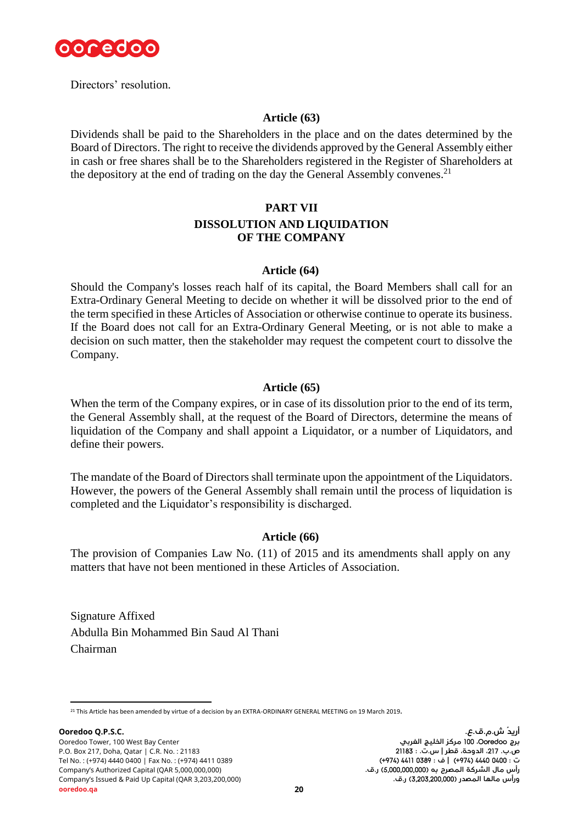

Directors' resolution.

# **Article (63)**

Dividends shall be paid to the Shareholders in the place and on the dates determined by the Board of Directors. The right to receive the dividends approved by the General Assembly either in cash or free shares shall be to the Shareholders registered in the Register of Shareholders at the depository at the end of trading on the day the General Assembly convenes.<sup>21</sup>

# **PART VII**

# **DISSOLUTION AND LIQUIDATION OF THE COMPANY**

# **Article (64)**

Should the Company's losses reach half of its capital, the Board Members shall call for an Extra-Ordinary General Meeting to decide on whether it will be dissolved prior to the end of the term specified in these Articles of Association or otherwise continue to operate its business. If the Board does not call for an Extra-Ordinary General Meeting, or is not able to make a decision on such matter, then the stakeholder may request the competent court to dissolve the Company.

# **Article (65)**

When the term of the Company expires, or in case of its dissolution prior to the end of its term, the General Assembly shall, at the request of the Board of Directors, determine the means of liquidation of the Company and shall appoint a Liquidator, or a number of Liquidators, and define their powers.

The mandate of the Board of Directors shall terminate upon the appointment of the Liquidators. However, the powers of the General Assembly shall remain until the process of liquidation is completed and the Liquidator's responsibility is discharged.

# **Article (66)**

The provision of Companies Law No. (11) of 2015 and its amendments shall apply on any matters that have not been mentioned in these Articles of Association.

Signature Affixed Abdulla Bin Mohammed Bin Saud Al Thani Chairman

l <sup>21</sup> This Article has been amended by virtue of a decision by an EXTRA-ORDINARY GENERAL MEETING on 19 March 2019**.**